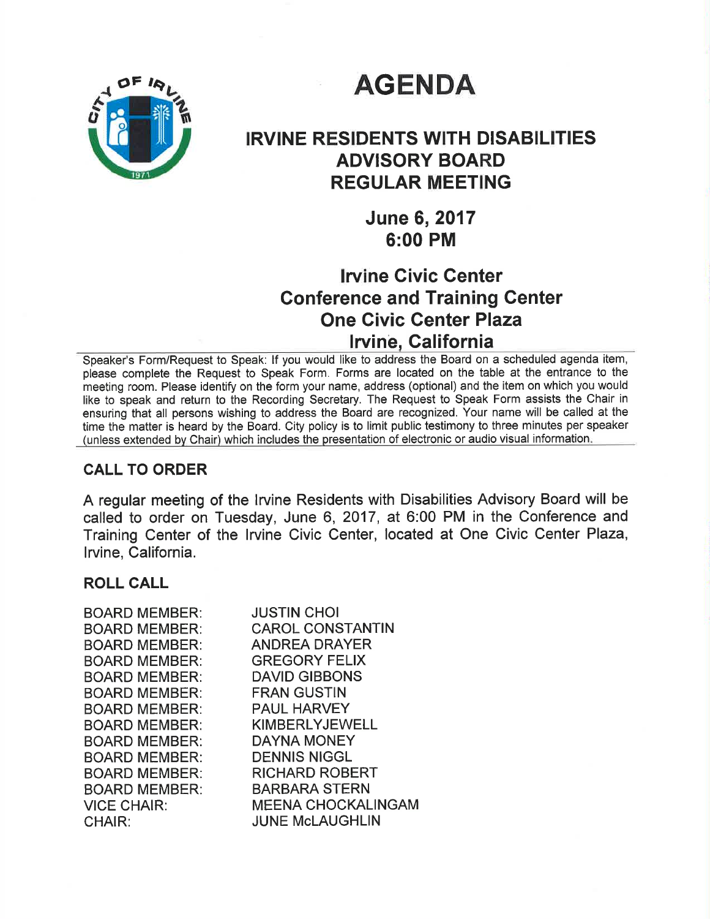# **AGENDA**



# IRVINE RESIDENTS WITH DISABILITIES ADVISORY BOARD REGULAR MEETING

June 6,2017 6:00 PM

# lruine Civic Genter Gonference and Training Center One Civic Genter Plaza lrvinê, Galifornia

Speaker's Form/Request to Speak: lf you would like to address the Board on a scheduled agenda item, please complete the Request to Speak Form. Forms are located on the table at the entrance to the meeting room. Please identify on the form your name, address (optional) and the item on which you would like to speak and return to the Recording Secretary. The Request to Speak Form assists the Chair in ensuring that all persons wishing to address the Board are recognized. Your name will be called at the time the matter is heard by the Board. City policy is to limit public testimony to three minutes per speaker (unless extended by Chair) which includes the presentation of electronic or audio visual information

### CALL TO ORDER

A regular meeting of the Irvine Residents with Disabilities Advisory Board will be called to order on Tuesday, June 6, 2017, at 6:00 PM in the Conference and Training Center of the lrvine Civic Center, located at One Civic Center Plaza, lrvine, California.

### ROLL CALL

| <b>BOARD MEMBER:</b> | <b>JUSTIN CHOI</b>        |
|----------------------|---------------------------|
| <b>BOARD MEMBER:</b> | <b>CAROL CONSTANTIN</b>   |
| <b>BOARD MEMBER:</b> | ANDREA DRAYER             |
| <b>BOARD MEMBER:</b> | <b>GREGORY FELIX</b>      |
| <b>BOARD MEMBER:</b> | <b>DAVID GIBBONS</b>      |
| <b>BOARD MEMBER:</b> | <b>FRAN GUSTIN</b>        |
| <b>BOARD MEMBER:</b> | <b>PAUL HARVEY</b>        |
| <b>BOARD MEMBER:</b> | <b>KIMBERLYJEWELL</b>     |
| <b>BOARD MEMBER:</b> | <b>DAYNA MONEY</b>        |
| <b>BOARD MEMBER:</b> | <b>DENNIS NIGGL</b>       |
| <b>BOARD MEMBER:</b> | <b>RICHARD ROBERT</b>     |
| <b>BOARD MEMBER:</b> | <b>BARBARA STERN</b>      |
| <b>VICE CHAIR:</b>   | <b>MEENA CHOCKALINGAM</b> |
| <b>CHAIR:</b>        | <b>JUNE McLAUGHLIN</b>    |
|                      |                           |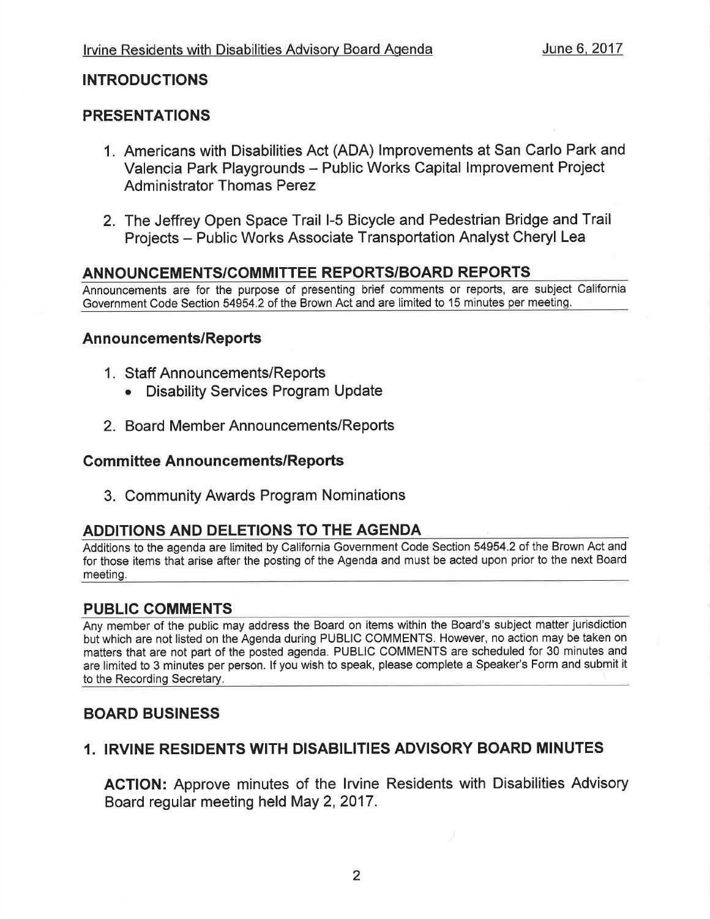### INTRODUCTIONS

### PRESENTATIONS

- 1. Americans with Disabilities Act (ADA) lmprovements at San Carlo Park and Valencia Park Playgrounds - Public Works Capital lmprovement Project Administrator Thomas Perez
- 2. The Jeffrey Open Space Trail l-5 Bicycle and Pedestrian Bridge and Trail Projects - Public Works Associate Transportation Analyst Cheryl Lea

### ANNOUNCEMENTS/COMMITTEE REPORTS/BOARD REPORTS

Announcements are for the purpose of presenting brief comments or reports, are subject California Government Code Section 54954.2 of the Brown Act and are limited to 15 minutes per meeting.

#### Announcements/Reports

- <sup>1</sup>. Staff Announcements/Reports
	- . Disability Services Program Update
- 2. Board Member Announcements/Reports

#### **Committee Announcements/Reports**

3. Community Awards Program Nominations

### ADDITIONS AND DELETIONS TO THE AGENDA

Additions to the agenda are limited by California Government Code Section 54954.2 of the Brown Act and for those items that arise after the posting of the Agenda and must be acted upon prior to the next Board meeting.

### PUBLIC COMMENTS

Any member of the public may address the Board on items within the Board's subject matter jurisdiction but which are not listed on the Agenda during PUBLIC COMMENTS. However, no action may be taken on matters that are not part of the posted agenda. PUBLIC COMMENTS are scheduled for 30 minutes and are limited to 3 minutes per person. lf you wish to speak, please complete a Speaker's Form and submit it to the Recording Secretary

### BOARD BUSINESS

### 1. IRVINE RESIDENTS WITH DISABILITIES ADVISORY BOARD MINUTES

ACTION: Approve minutes of the lrvine Residents with Disabilities Advisory Board regular meeting held May 2,2017.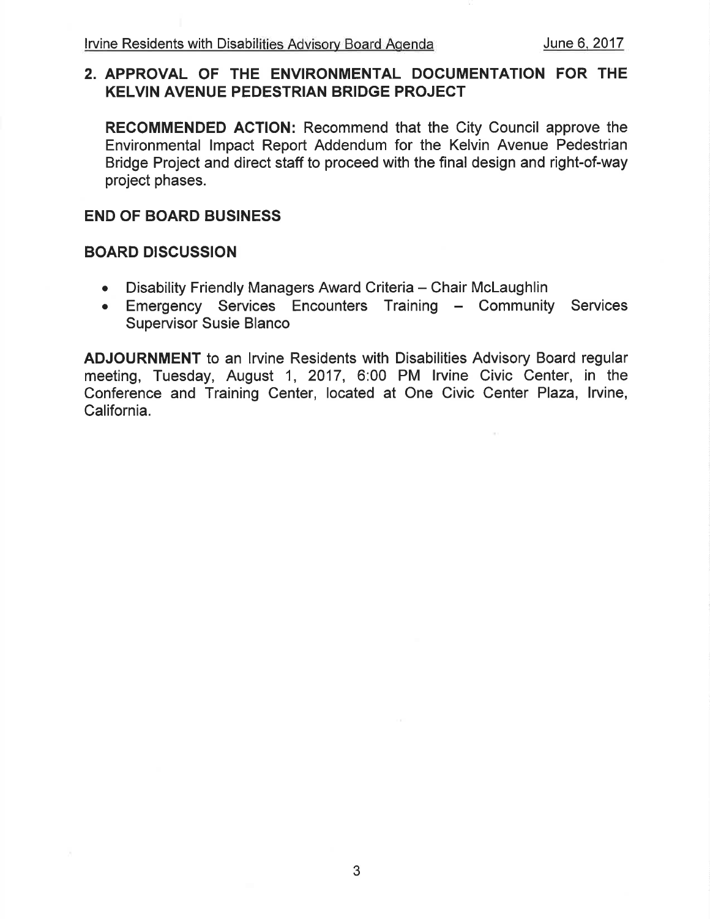### 2. APPROVAL OF THE ENVIRONMENTAL DOCUMENTATION FOR THE KELVIN AVENUE PEDESTRIAN BRIDGE PROJECT

RECOMMENDED AGTION: Recommend that the City Council approve the Environmental lmpact Report Addendum for the Kelvin Avenue Pedestrian Bridge Project and direct staff to proceed with the final design and right-of-way project phases.

### END OF BOARD BUSINESS

#### BOARD DISCUSSION

- Disability Friendly Managers Award Criteria Chair McLaughlin
- Emergency Services Encounters Training Community Services Supervisor Susie Blanco

ADJOURNMENT to an lrvine Residents with Disabilities Advisory Board regular meeting, Tuesday, August 1, 2017, 6:00 PM lrvine Civic Center, in the Conference and Training Center, located at One Civic Center Plaza, lrvine, California.